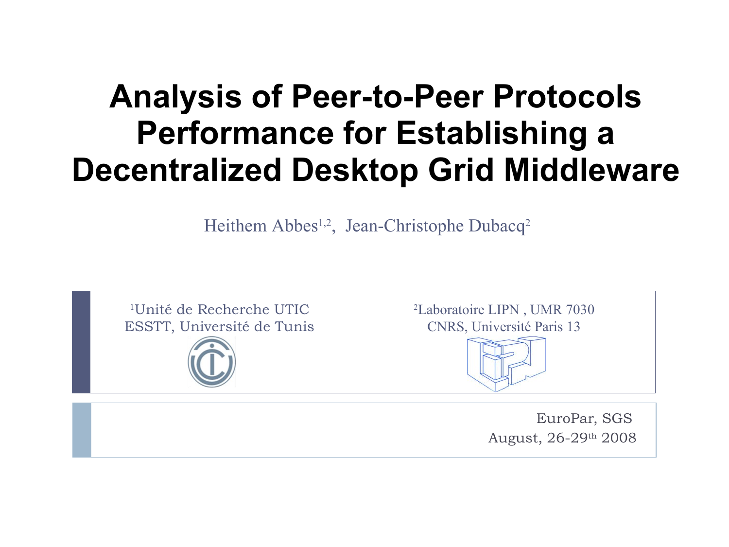#### **Analysis of Peer-to-Peer Protocols Performance for Establishing a Decentralized Desktop Grid Middleware**

Heithem Abbes<sup>1,2</sup>, Jean-Christophe Dubacq<sup>2</sup>



EuroPar, SGS August, 26-29th 2008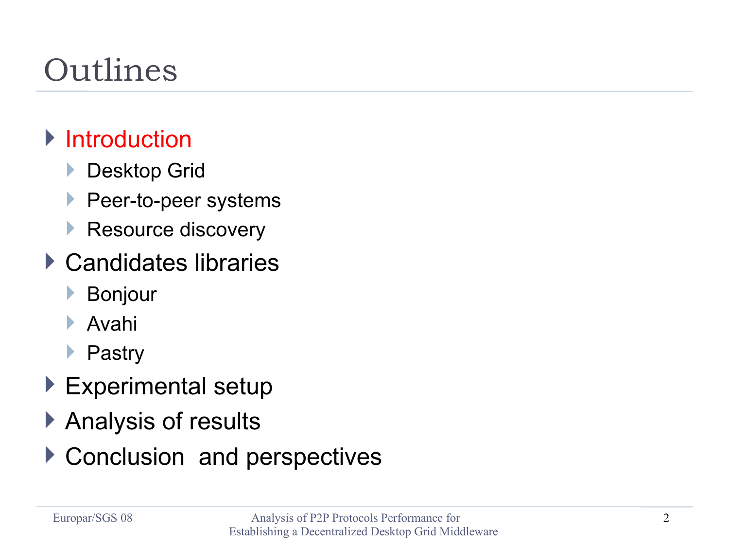### Outlines

#### **Introduction**

- **Desktop Grid**
- **Peer-to-peer systems**
- Resource discovery
- ▶ Candidates libraries
	- Bonjour
	- Avahi
	- ▶ Pastry
- ▶ Experimental setup
- ▶ Analysis of results
- ▶ Conclusion and perspectives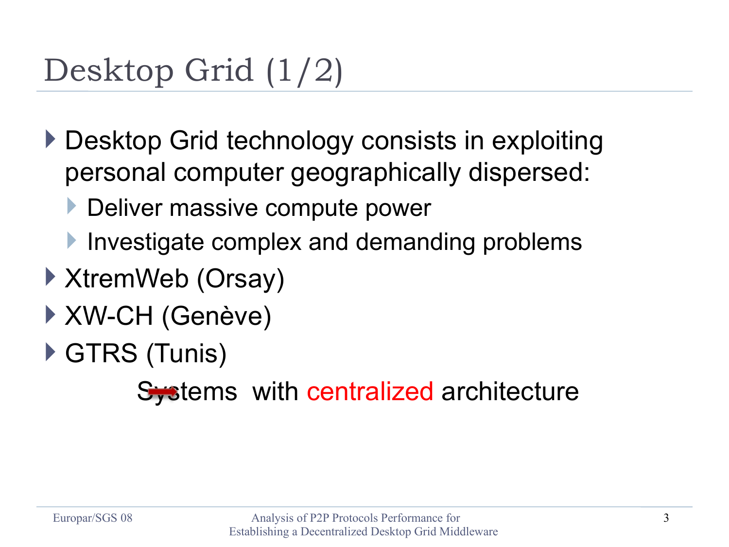### Desktop Grid (1/2)

- ▶ Desktop Grid technology consists in exploiting personal computer geographically dispersed:
	- Deliver massive compute power
	- Investigate complex and demanding problems
- ▶ XtremWeb (Orsay)
- XW-CH (Genève)
- ▶ GTRS (Tunis)

Systems with centralized architecture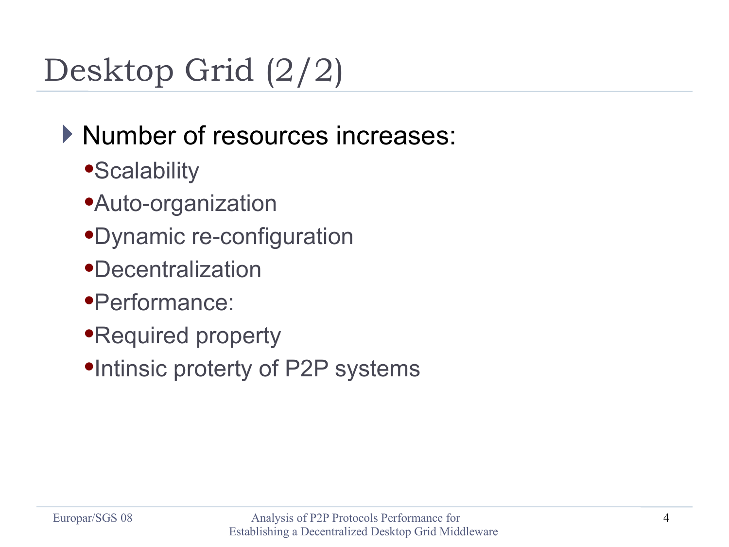### Desktop Grid (2/2)

#### Number of resources increases:

- **•Scalability**
- Auto-organization
- Dynamic re-configuration
- Decentralization
- Performance:
- Required property
- •Intinsic proterty of P2P systems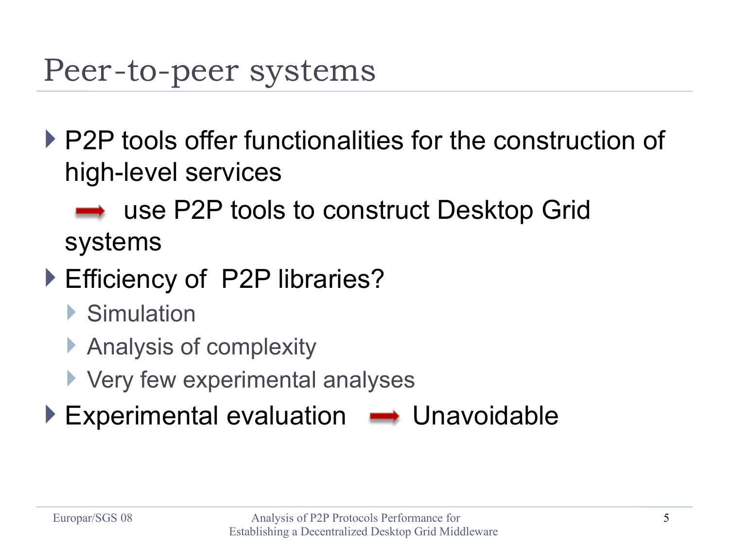#### Peer-to-peer systems

- P2P tools offer functionalities for the construction of high-level services
	- use P2P tools to construct Desktop Grid systems
- ▶ Efficiency of P2P libraries?
	- ▶ Simulation
	- ▶ Analysis of complexity
	- **Very few experimental analyses**
- $\blacktriangleright$  Experimental evaluation  $\blacktriangleright$  Unavoidable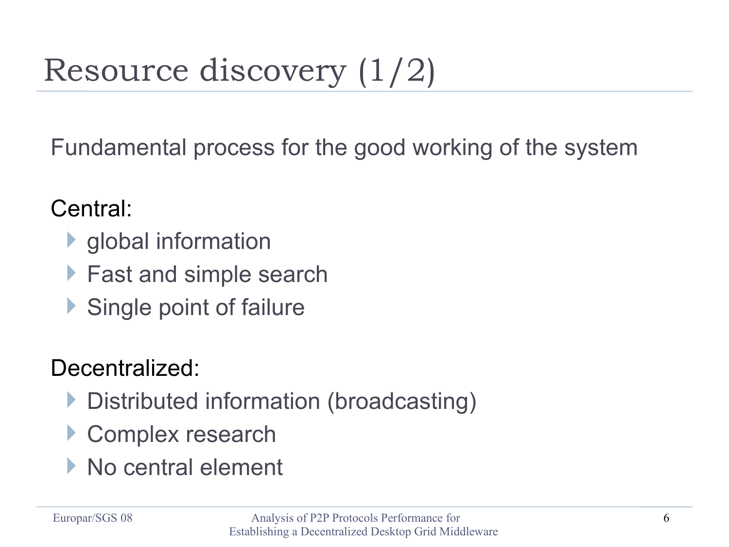# Resource discovery (1/2)

Fundamental process for the good working of the system

#### Central:

- **I** global information
- ▶ Fast and simple search
- Single point of failure

#### Decentralized:

- ▶ Distributed information (broadcasting)
- ▶ Complex research
- ▶ No central element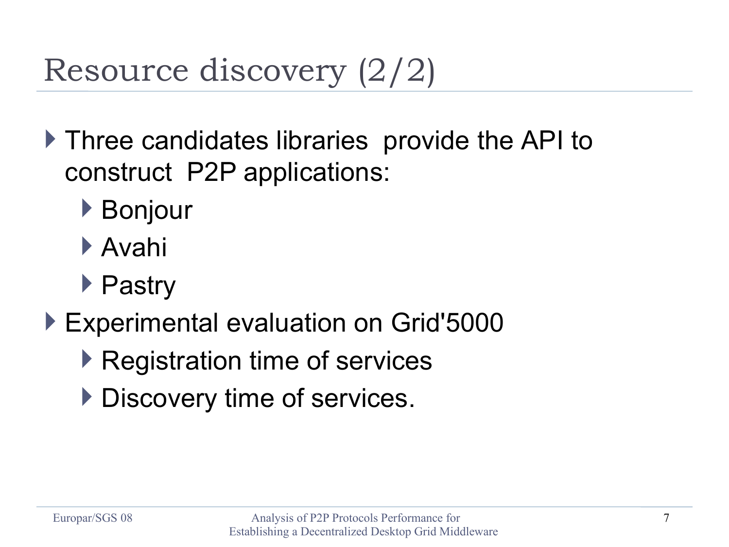### Resource discovery (2/2)

- ▶ Three candidates libraries provide the API to construct P2P applications:
	- ▶ Bonjour
	- Avahi
	- ▶ Pastry
- ▶ Experimental evaluation on Grid'5000
	- ▶ Registration time of services
	- Discovery time of services.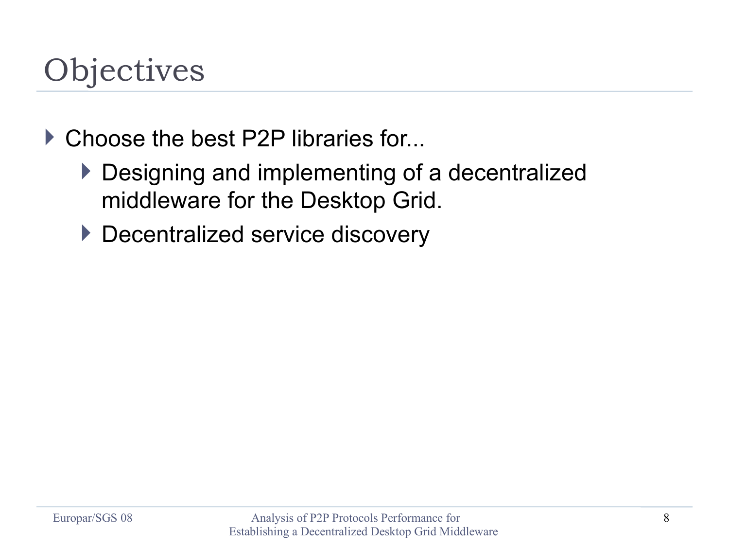#### **Objectives**

- ▶ Choose the best P2P libraries for...
	- Designing and implementing of a decentralized middleware for the Desktop Grid.
	- ▶ Decentralized service discovery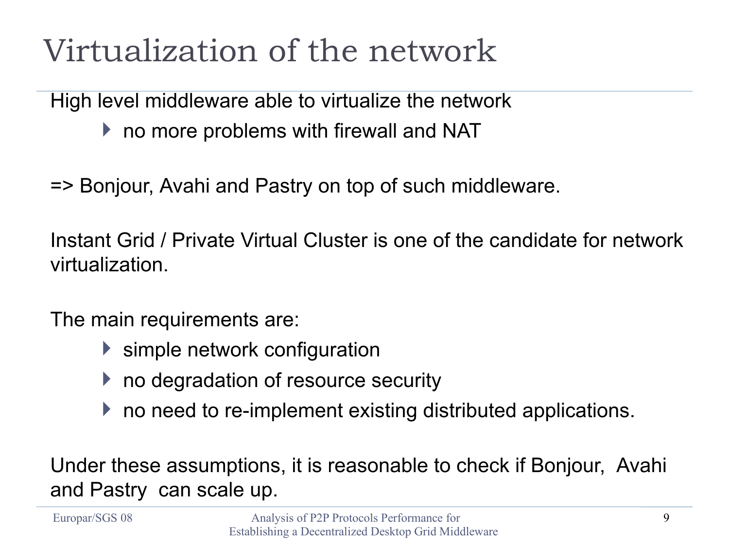#### Virtualization of the network

High level middleware able to virtualize the network

- ▶ no more problems with firewall and NAT
- => Bonjour, Avahi and Pastry on top of such middleware.

Instant Grid / Private Virtual Cluster is one of the candidate for network virtualization.

The main requirements are:

- ▶ simple network configuration
- $\blacktriangleright$  no degradation of resource security
- ▶ no need to re-implement existing distributed applications.

Under these assumptions, it is reasonable to check if Bonjour, Avahi and Pastry can scale up.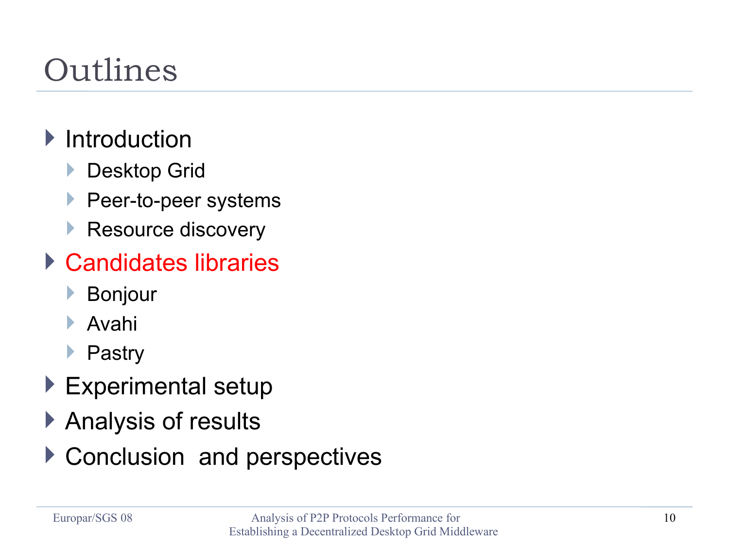### Outlines

#### $\blacktriangleright$  Introduction

- **Desktop Grid**
- **Peer-to-peer systems**
- Resource discovery

#### ▶ Candidates libraries

- Bonjour
- Avahi
- ▶ Pastry
- ▶ Experimental setup
- ▶ Analysis of results
- ▶ Conclusion and perspectives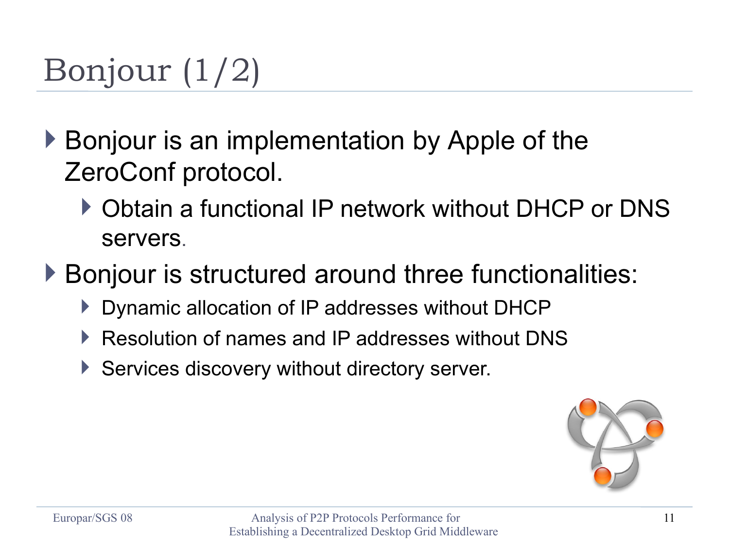## Bonjour (1/2)

- ▶ Bonjour is an implementation by Apple of the ZeroConf protocol.
	- ▶ Obtain a functional IP network without DHCP or DNS servers.

▶ Bonjour is structured around three functionalities:

- Dynamic allocation of IP addresses without DHCP
- Resolution of names and IP addresses without DNS
- ▶ Services discovery without directory server.

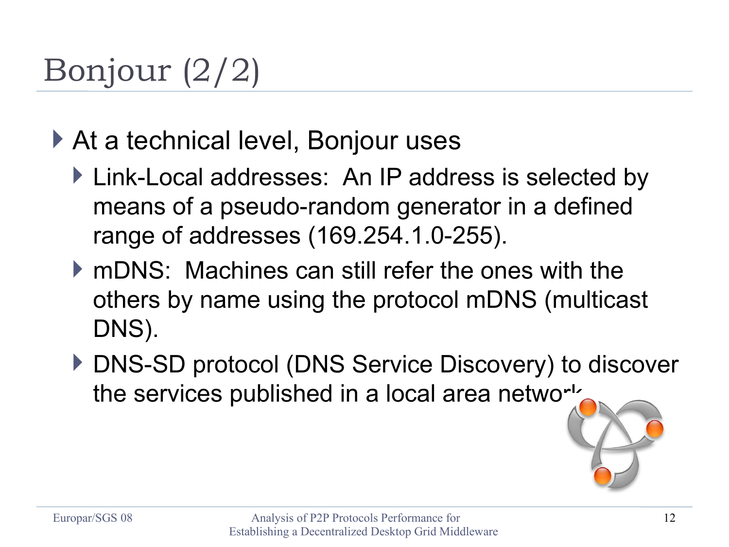## Bonjour (2/2)

- ▶ At a technical level, Bonjour uses
	- ▶ Link-Local addresses: An IP address is selected by means of a pseudo-random generator in a defined range of addresses (169.254.1.0-255).
	- mDNS: Machines can still refer the ones with the others by name using the protocol mDNS (multicast DNS).
	- ▶ DNS-SD protocol (DNS Service Discovery) to discover the services published in a local area network.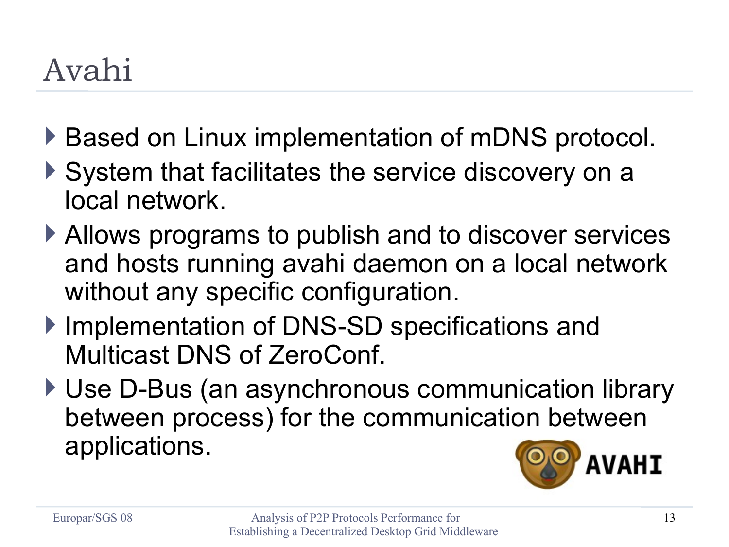### Avahi

- ▶ Based on Linux implementation of mDNS protocol.
- ▶ System that facilitates the service discovery on a local network.
- ▶ Allows programs to publish and to discover services and hosts running avahi daemon on a local network without any specific configuration.
- ▶ Implementation of DNS-SD specifications and Multicast DNS of ZeroConf.
- ▶ Use D-Bus (an asynchronous communication library between process) for the communication between applications.

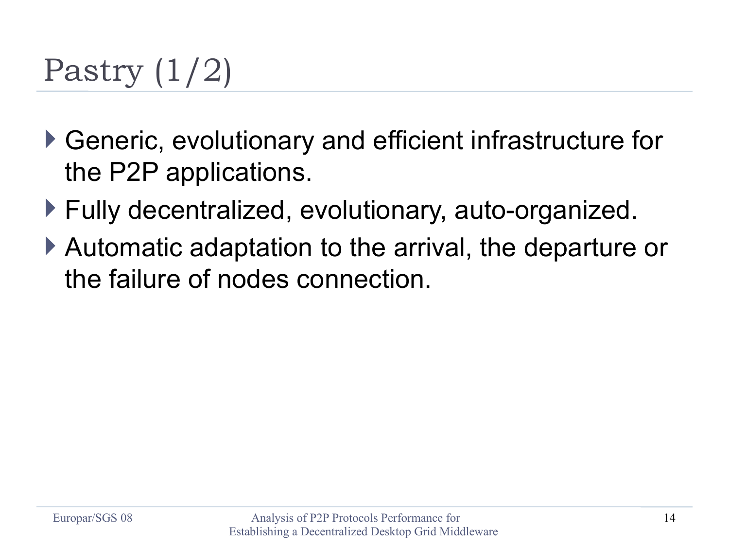### Pastry (1/2)

- Generic, evolutionary and efficient infrastructure for the P2P applications.
- ▶ Fully decentralized, evolutionary, auto-organized.
- Automatic adaptation to the arrival, the departure or the failure of nodes connection.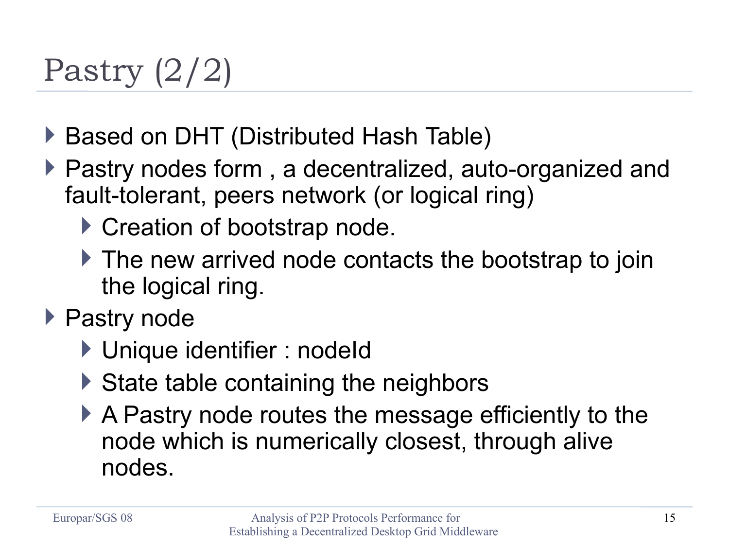### Pastry (2/2)

- ▶ Based on DHT (Distributed Hash Table)
- ▶ Pastry nodes form, a decentralized, auto-organized and fault-tolerant, peers network (or logical ring)
	- ▶ Creation of bootstrap node.
	- ▶ The new arrived node contacts the bootstrap to join the logical ring.
- ▶ Pastry node
	- ▶ Unique identifier : nodeId
	- $\triangleright$  State table containing the neighbors
	- A Pastry node routes the message efficiently to the node which is numerically closest, through alive nodes.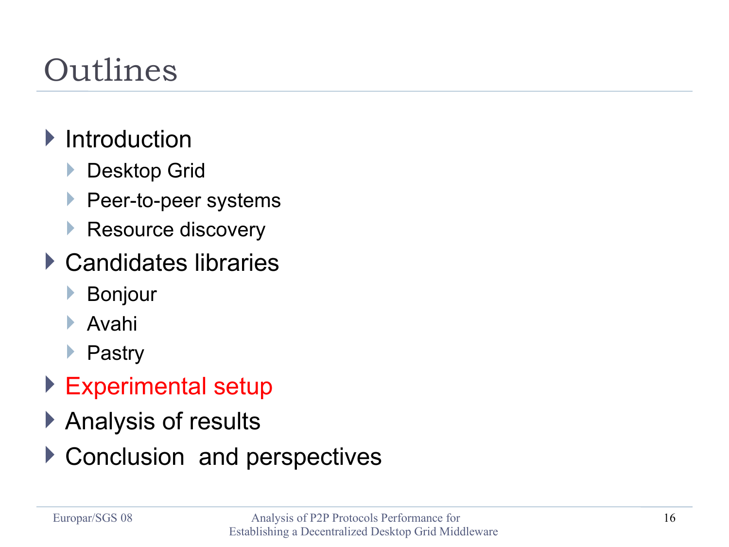### Outlines

#### $\blacktriangleright$  Introduction

- **Desktop Grid**
- **Peer-to-peer systems**
- Resource discovery
- ▶ Candidates libraries
	- Bonjour
	- Avahi
	- **Pastry**
- ▶ Experimental setup
- ▶ Analysis of results
- ▶ Conclusion and perspectives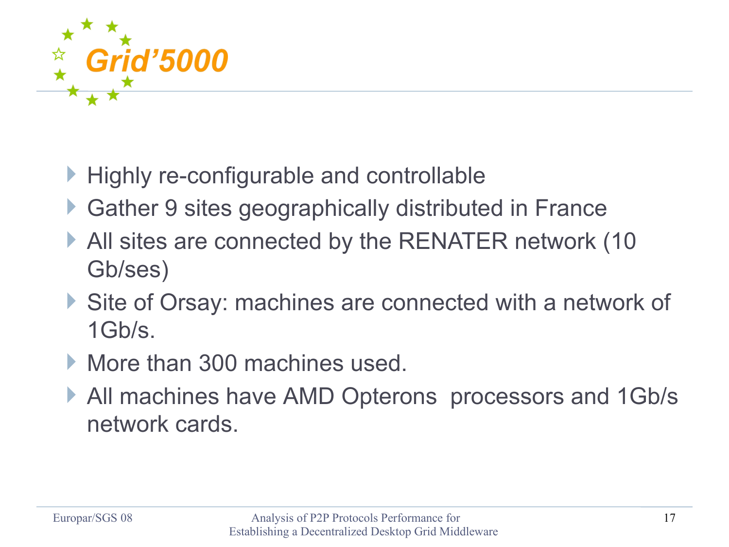

- **Highly re-configurable and controllable**
- Gather 9 sites geographically distributed in France
- All sites are connected by the RENATER network (10 Gb/ses)
- Site of Orsay: machines are connected with a network of 1Gb/s.
- More than 300 machines used.
- All machines have AMD Opterons processors and 1Gb/s network cards.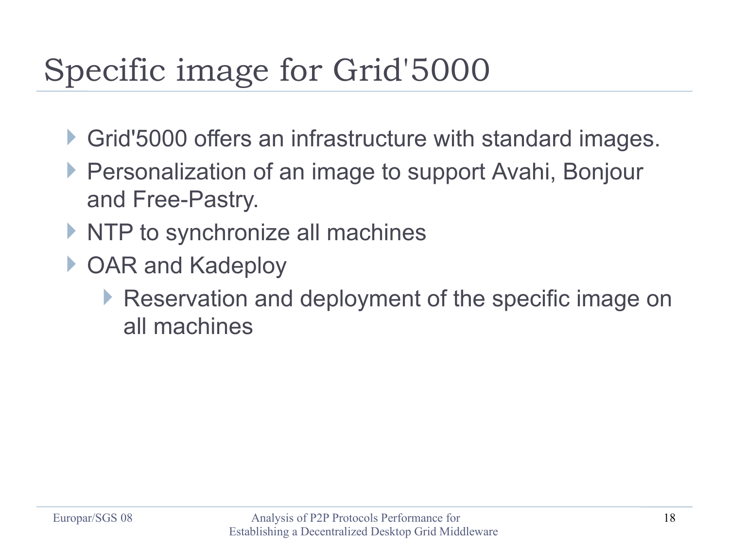### Specific image for Grid'5000

- Grid'5000 offers an infrastructure with standard images.
- ▶ Personalization of an image to support Avahi, Bonjour and Free-Pastry.
- $\triangleright$  NTP to synchronize all machines
- ▶ OAR and Kadeploy
	- Reservation and deployment of the specific image on all machines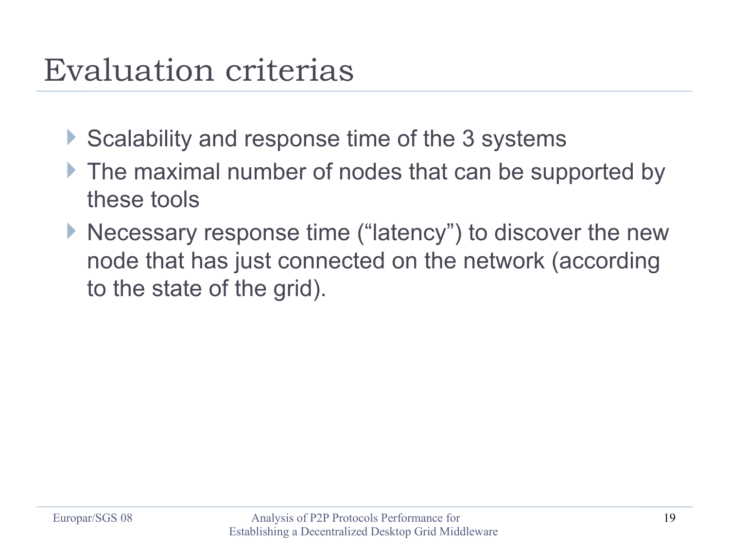#### Evaluation criterias

- Scalability and response time of the 3 systems
- If the maximal number of nodes that can be supported by these tools
- ▶ Necessary response time ("latency") to discover the new node that has just connected on the network (according to the state of the grid).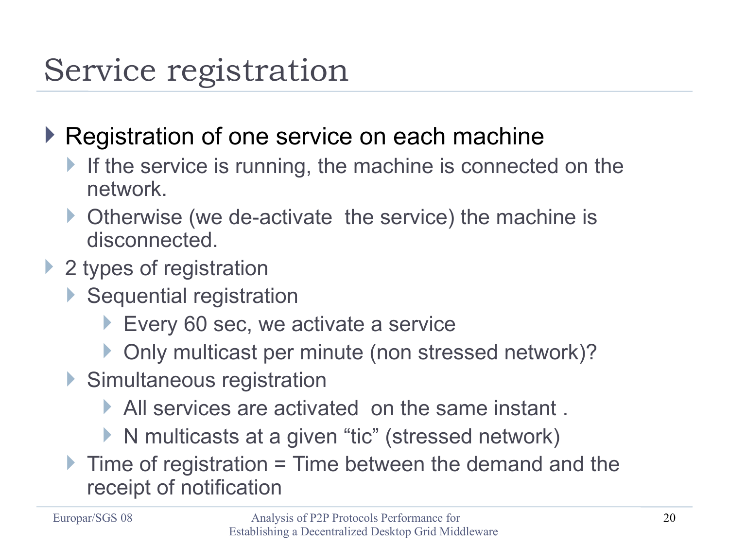#### Service registration

- ▶ Registration of one service on each machine
	- If the service is running, the machine is connected on the network.
	- ▶ Otherwise (we de-activate the service) the machine is disconnected.
- ▶ 2 types of registration
	- ▶ Sequential registration
		- Every 60 sec, we activate a service
		- ▶ Only multicast per minute (non stressed network)?
	- ▶ Simultaneous registration
		- All services are activated on the same instant .
		- ▶ N multicasts at a given "tic" (stressed network)
	- $\blacktriangleright$  Time of registration = Time between the demand and the receipt of notification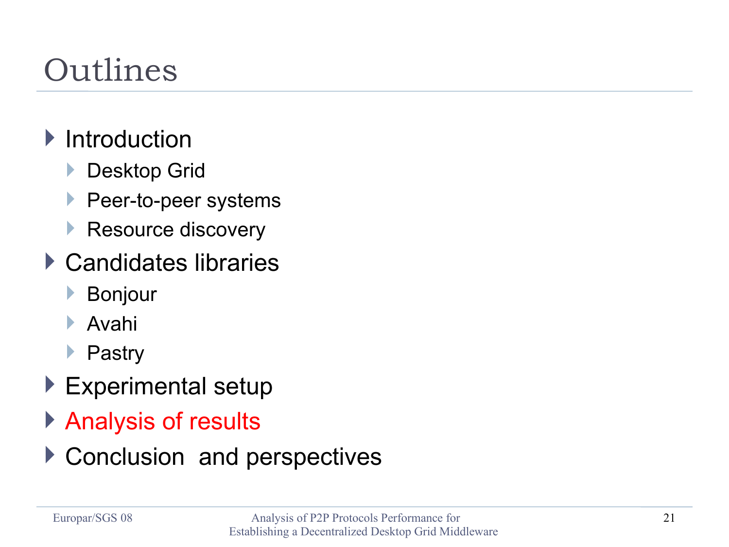### Outlines

#### $\blacktriangleright$  Introduction

- **Desktop Grid**
- **Peer-to-peer systems**
- Resource discovery
- ▶ Candidates libraries
	- Bonjour
	- Avahi
	- ▶ Pastry
- ▶ Experimental setup
- ▶ Analysis of results
- ▶ Conclusion and perspectives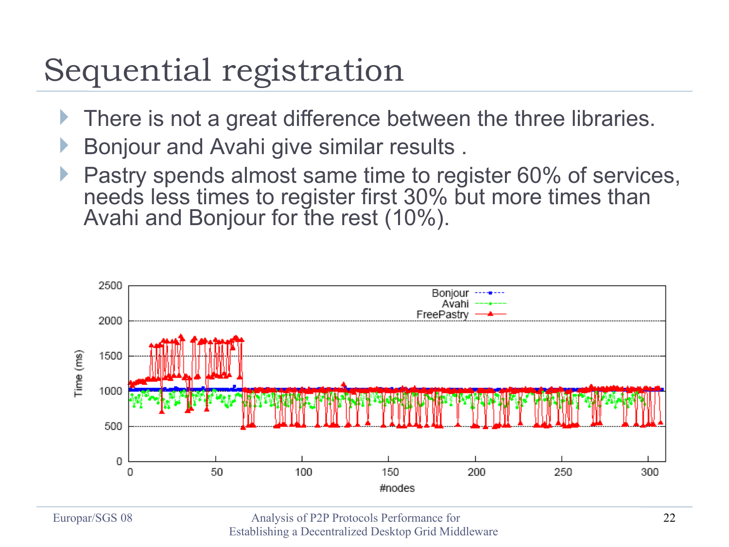#### Sequential registration

- There is not a great difference between the three libraries.
- Bonjour and Avahi give similar results .
- Pastry spends almost same time to register 60% of services, needs less times to register first 30% but more times than Avahi and Bonjour for the rest (10%).

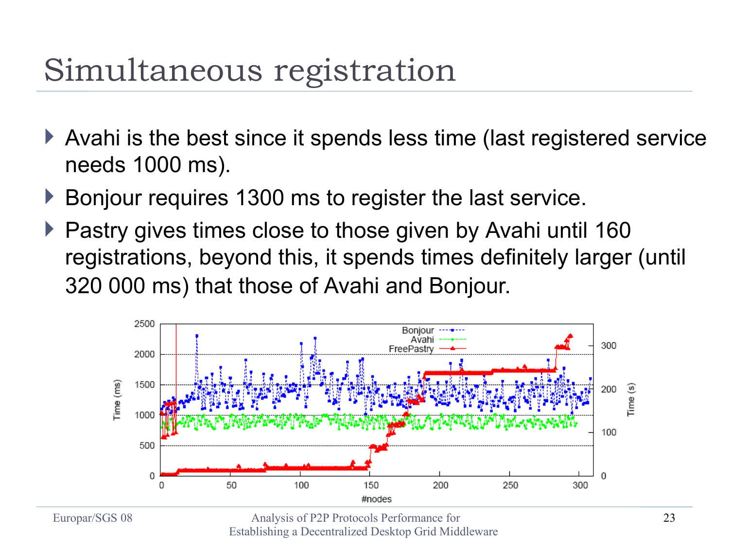#### Simultaneous registration

- Avahi is the best since it spends less time (last registered service needs 1000 ms).
- ▶ Bonjour requires 1300 ms to register the last service.
- ▶ Pastry gives times close to those given by Avahi until 160 registrations, beyond this, it spends times definitely larger (until 320 000 ms) that those of Avahi and Bonjour.

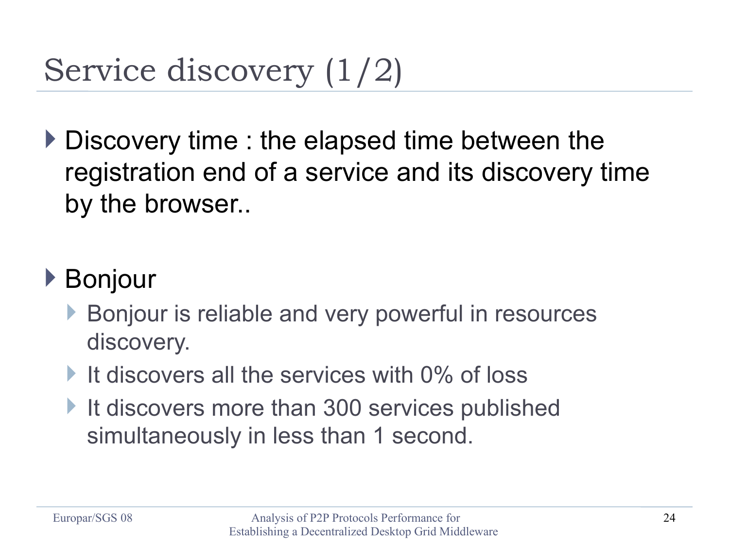### Service discovery (1/2)

Discovery time : the elapsed time between the registration end of a service and its discovery time by the browser..

#### ▶ Bonjour

- Bonjour is reliable and very powerful in resources discovery.
- If discovers all the services with  $0\%$  of loss
- It discovers more than 300 services published simultaneously in less than 1 second.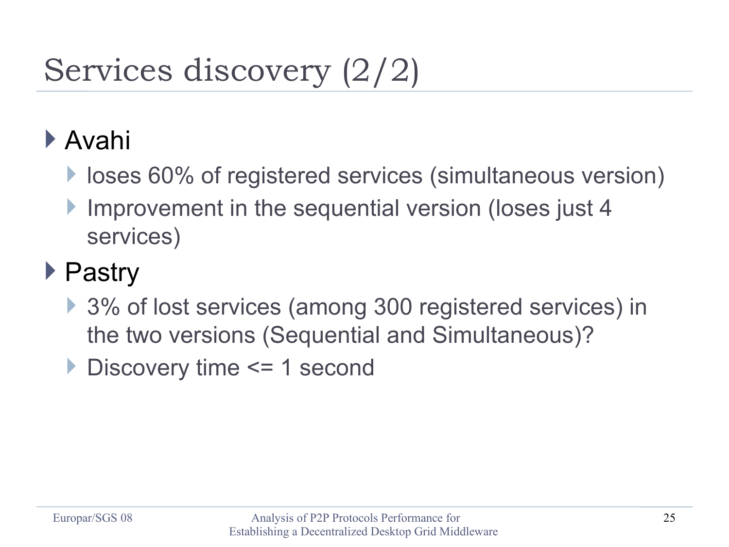## Services discovery (2/2)

#### Avahi

- **If loses 60% of registered services (simultaneous version)**
- Improvement in the sequential version (loses just 4 services)

#### ▶ Pastry

- ▶ 3% of lost services (among 300 registered services) in the two versions (Sequential and Simultaneous)?
- ▶ Discovery time <= 1 second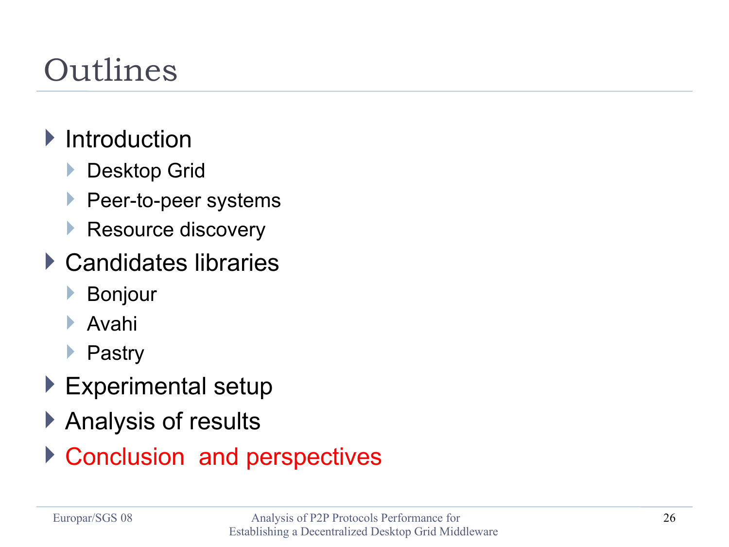### Outlines

#### $\blacktriangleright$  Introduction

- **Desktop Grid**
- **Peer-to-peer systems**
- Resource discovery
- ▶ Candidates libraries
	- Bonjour
	- Avahi
	- ▶ Pastry
- ▶ Experimental setup
- ▶ Analysis of results
- ▶ Conclusion and perspectives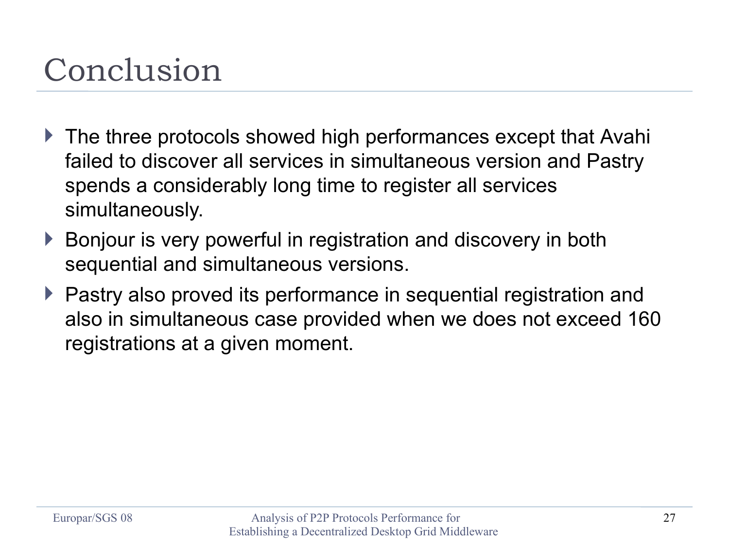#### Conclusion

- ▶ The three protocols showed high performances except that Avahi failed to discover all services in simultaneous version and Pastry spends a considerably long time to register all services simultaneously.
- Bonjour is very powerful in registration and discovery in both sequential and simultaneous versions.
- ▶ Pastry also proved its performance in sequential registration and also in simultaneous case provided when we does not exceed 160 registrations at a given moment.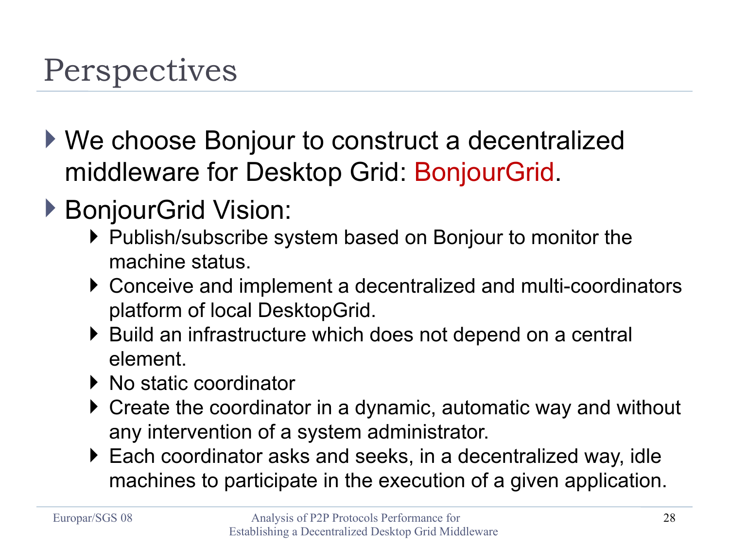#### Perspectives

- ▶ We choose Bonjour to construct a decentralized middleware for Desktop Grid: BonjourGrid.
- ▶ BonjourGrid Vision:
	- ▶ Publish/subscribe system based on Bonjour to monitor the machine status.
	- ▶ Conceive and implement a decentralized and multi-coordinators platform of local DesktopGrid.
	- ▶ Build an infrastructure which does not depend on a central element.
	- ▶ No static coordinator
	- ▶ Create the coordinator in a dynamic, automatic way and without any intervention of a system administrator.
	- ▶ Each coordinator asks and seeks, in a decentralized way, idle machines to participate in the execution of a given application.